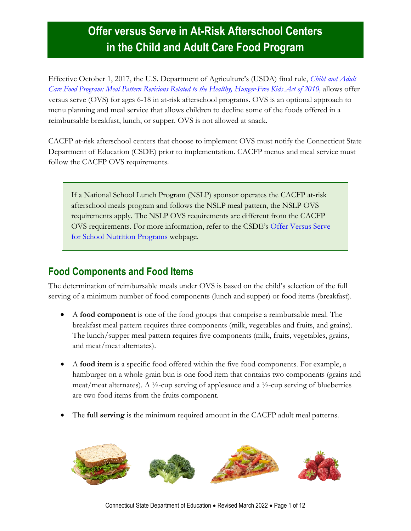# **Offer versus Serve in At-Risk Afterschool Centers in the Child and Adult Care Food Program**

Effective October 1, 2017, the U.S. Department of Agriculture's (USDA) final rule, *[Child and Adult](https://www.fns.usda.gov/cacfp/fr-042516)  [Care Food Program: Meal Pattern Revisions Related to the Healthy, Hunger-Free Kids Act of 2010,](https://www.fns.usda.gov/cacfp/fr-042516)* allows offer versus serve (OVS) for ages 6-18 in at-risk afterschool programs. OVS is an optional approach to menu planning and meal service that allows children to decline some of the foods offered in a reimbursable breakfast, lunch, or supper. OVS is not allowed at snack.

CACFP at-risk afterschool centers that choose to implement OVS must notify the Connecticut State Department of Education (CSDE) prior to implementation. CACFP menus and meal service must follow the CACFP OVS requirements.

If a National School Lunch Program (NSLP) sponsor operates the CACFP at-risk afterschool meals program and follows the NSLP meal pattern, the NSLP OVS requirements apply. The NSLP OVS requirements are different from the CACFP OVS requirements. For more information, refer to the CSDE's [Offer Versus Serve](https://portal.ct.gov/SDE/Nutrition/Offer-versus-Serve-for-School-Nutrition-Programs)  [for School Nutrition Programs](https://portal.ct.gov/SDE/Nutrition/Offer-versus-Serve-for-School-Nutrition-Programs) webpage.

### **Food Components and Food Items**

The determination of reimbursable meals under OVS is based on the child's selection of the full serving of a minimum number of food components (lunch and supper) or food items (breakfast).

- A **food component** is one of the food groups that comprise a reimbursable meal. The breakfast meal pattern requires three components (milk, vegetables and fruits, and grains). The lunch/supper meal pattern requires five components (milk, fruits, vegetables, grains, and meat/meat alternates).
- A **food item** is a specific food offered within the five food components. For example, a hamburger on a whole-grain bun is one food item that contains two components (grains and meat/meat alternates). A  $\frac{1}{2}$ -cup serving of applesauce and a  $\frac{1}{2}$ -cup serving of blueberries are two food items from the fruits component.
- The **full serving** is the minimum required amount in the CACFP adult meal patterns.

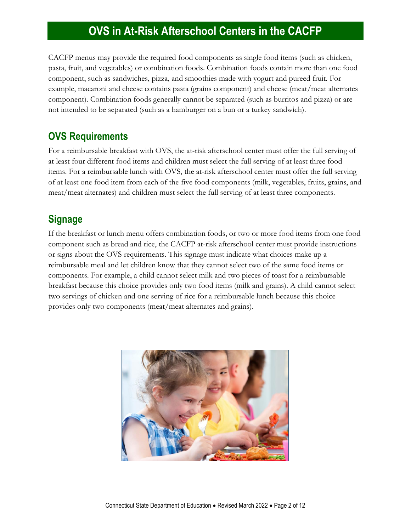CACFP menus may provide the required food components as single food items (such as chicken, pasta, fruit, and vegetables) or combination foods. Combination foods contain more than one food component, such as sandwiches, pizza, and smoothies made with yogurt and pureed fruit. For example, macaroni and cheese contains pasta (grains component) and cheese (meat/meat alternates component). Combination foods generally cannot be separated (such as burritos and pizza) or are not intended to be separated (such as a hamburger on a bun or a turkey sandwich).

### **OVS Requirements**

For a reimbursable breakfast with OVS, the at-risk afterschool center must offer the full serving of at least four different food items and children must select the full serving of at least three food items. For a reimbursable lunch with OVS, the at-risk afterschool center must offer the full serving of at least one food item from each of the five food components (milk, vegetables, fruits, grains, and meat/meat alternates) and children must select the full serving of at least three components.

### **Signage**

If the breakfast or lunch menu offers combination foods, or two or more food items from one food component such as bread and rice, the CACFP at-risk afterschool center must provide instructions or signs about the OVS requirements. This signage must indicate what choices make up a reimbursable meal and let children know that they cannot select two of the same food items or components. For example, a child cannot select milk and two pieces of toast for a reimbursable breakfast because this choice provides only two food items (milk and grains). A child cannot select two servings of chicken and one serving of rice for a reimbursable lunch because this choice provides only two components (meat/meat alternates and grains).

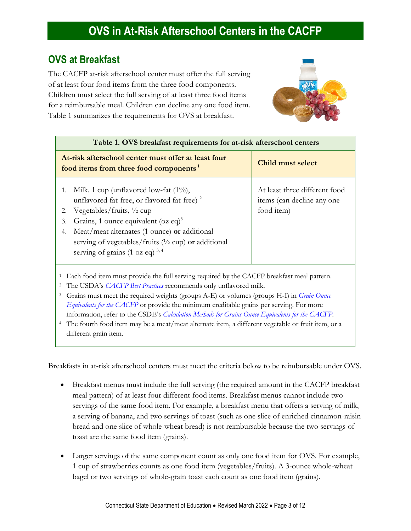### **OVS at Breakfast**

The CACFP at-risk afterschool center must offer the full serving of at least four food items from the three food components. Children must select the full serving of at least three food items for a reimbursable meal. Children can decline any one food item. Table 1 summarizes the requirements for OVS at breakfast.



| Table 1. OVS breakfast requirements for at-risk afterschool centers                                                                                                                                                                                                                                                                                                                                                                                                                                                                                                                                                        |                                                                           |  |  |  |  |
|----------------------------------------------------------------------------------------------------------------------------------------------------------------------------------------------------------------------------------------------------------------------------------------------------------------------------------------------------------------------------------------------------------------------------------------------------------------------------------------------------------------------------------------------------------------------------------------------------------------------------|---------------------------------------------------------------------------|--|--|--|--|
| At-risk afterschool center must offer at least four<br>food items from three food components <sup>1</sup>                                                                                                                                                                                                                                                                                                                                                                                                                                                                                                                  | <b>Child must select</b>                                                  |  |  |  |  |
| Milk. 1 cup (unflavored low-fat $(1\%)$ ,<br>1.<br>unflavored fat-free, or flavored fat-free) <sup>2</sup><br>Vegetables/fruits, $\frac{1}{2}$ cup<br>2.<br>Grains, 1 ounce equivalent (oz eq) <sup>3</sup><br>3.<br>Meat/meat alternates (1 ounce) or additional<br>4.<br>serving of vegetables/fruits $(1/2$ cup) or additional<br>serving of grains (1 oz eq) $^{3,4}$                                                                                                                                                                                                                                                  | At least three different food<br>items (can decline any one<br>food item) |  |  |  |  |
| Each food item must provide the full serving required by the CACFP breakfast meal pattern.<br>The USDA's CACFP Best Practices recommends only unflavored milk.<br>$\mathbf{2}$<br>Grains must meet the required weights (groups A-E) or volumes (groups H-I) in <i>Grain Ounce</i><br>3<br>Equivalents for the CACFP or provide the minimum creditable grains per serving. For more<br>information, refer to the CSDE's Calculation Methods for Grains Ounce Equivalents for the CACFP.<br>The fourth food item may be a meat/meat alternate item, a different vegetable or fruit item, or a<br>4<br>different grain item. |                                                                           |  |  |  |  |

Breakfasts in at-risk afterschool centers must meet the criteria below to be reimbursable under OVS.

- Breakfast menus must include the full serving (the required amount in the CACFP breakfast meal pattern) of at least four different food items. Breakfast menus cannot include two servings of the same food item. For example, a breakfast menu that offers a serving of milk, a serving of banana, and two servings of toast (such as one slice of enriched cinnamon-raisin bread and one slice of whole-wheat bread) is not reimbursable because the two servings of toast are the same food item (grains).
- Larger servings of the same component count as only one food item for OVS. For example, 1 cup of strawberries counts as one food item (vegetables/fruits). A 3-ounce whole-wheat bagel or two servings of whole-grain toast each count as one food item (grains).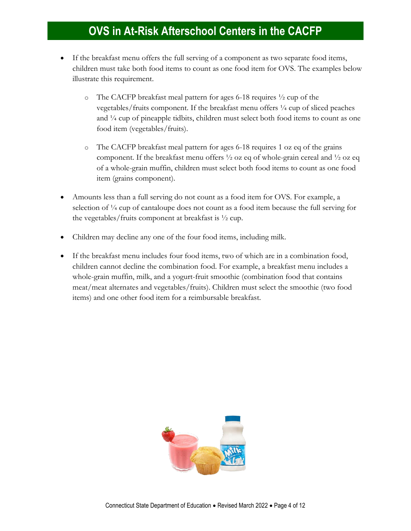- If the breakfast menu offers the full serving of a component as two separate food items, children must take both food items to count as one food item for OVS. The examples below illustrate this requirement.
	- o The CACFP breakfast meal pattern for ages 6-18 requires  $\frac{1}{2}$  cup of the vegetables/fruits component. If the breakfast menu offers  $\frac{1}{4}$  cup of sliced peaches and ¼ cup of pineapple tidbits, children must select both food items to count as one food item (vegetables/fruits).
	- o The CACFP breakfast meal pattern for ages 6-18 requires 1 oz eq of the grains component. If the breakfast menu offers  $\frac{1}{2}$  oz eq of whole-grain cereal and  $\frac{1}{2}$  oz eq of a whole-grain muffin, children must select both food items to count as one food item (grains component).
- Amounts less than a full serving do not count as a food item for OVS. For example, a selection of  $\frac{1}{4}$  cup of cantaloupe does not count as a food item because the full serving for the vegetables/fruits component at breakfast is ½ cup.
- Children may decline any one of the four food items, including milk.
- If the breakfast menu includes four food items, two of which are in a combination food, children cannot decline the combination food. For example, a breakfast menu includes a whole-grain muffin, milk, and a yogurt-fruit smoothie (combination food that contains meat/meat alternates and vegetables/fruits). Children must select the smoothie (two food items) and one other food item for a reimbursable breakfast.

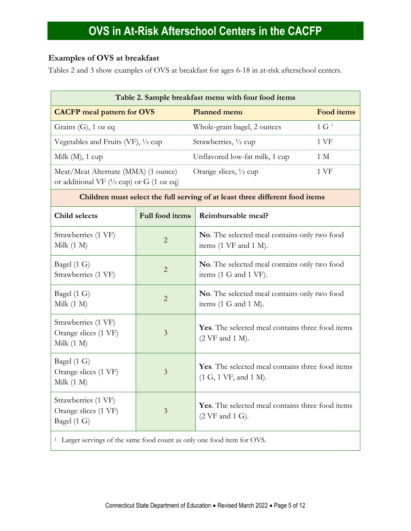#### **Examples of OVS at breakfast**

Tables 2 and 3 show examples of OVS at breakfast for ages 6-18 in at-risk afterschool centers.

| Table 2. Sample breakfast menu with four food items                                         |                                                          |                                                                                                |                            |  |  |
|---------------------------------------------------------------------------------------------|----------------------------------------------------------|------------------------------------------------------------------------------------------------|----------------------------|--|--|
|                                                                                             | <b>CACFP</b> meal pattern for OVS<br><b>Planned menu</b> |                                                                                                | <b>Food items</b>          |  |  |
| Grains (G), 1 oz eq                                                                         |                                                          | Whole-grain bagel, 2 ounces                                                                    | $1 \text{ G}$ <sup>1</sup> |  |  |
| Vegetables and Fruits (VF), 1/2 cup                                                         |                                                          | Strawberries, 1/2 cup                                                                          | 1 <sub>VF</sub>            |  |  |
| Milk $(M)$ , 1 cup                                                                          |                                                          | Unflavored low-fat milk, 1 cup                                                                 | 1 M                        |  |  |
| Meat/Meat Alternate (MMA) (1 ounce)<br>or additional VF ( $\frac{1}{2}$ cup) or G (1 oz eq) |                                                          | 1 VF<br>Orange slices, 1/2 cup                                                                 |                            |  |  |
|                                                                                             |                                                          | Children must select the full serving of at least three different food items                   |                            |  |  |
| Child selects                                                                               | Full food items                                          | Reimbursable meal?                                                                             |                            |  |  |
| Strawberries (1 VF)<br>Milk $(1 M)$                                                         | $\overline{2}$                                           | No. The selected meal contains only two food<br>items (1 VF and 1 M).                          |                            |  |  |
| Bagel (1 G)<br>Strawberries (1 VF)                                                          | $\overline{2}$                                           | <b>No.</b> The selected meal contains only two food<br>items (1 G and 1 VF).                   |                            |  |  |
| Bagel (1 G)<br>Milk $(1 M)$                                                                 | $\overline{2}$                                           | <b>No.</b> The selected meal contains only two food<br>items $(1 \text{ G and } 1 \text{ M}).$ |                            |  |  |
| Strawberries (1 VF)<br>Orange slices (1 VF)<br>Milk $(1 M)$                                 | 3                                                        | Yes. The selected meal contains three food items<br>$(2 \text{ VF}$ and $1 \text{ M})$ .       |                            |  |  |
| Bagel (1 G)<br>Orange slices (1 VF)<br>Milk $(1 M)$                                         | 3                                                        | Yes. The selected meal contains three food items<br>(1 G, 1 VF, and 1 M).                      |                            |  |  |
| Strawberries (1 VF)<br>Orange slices (1 VF)<br>Bagel (1 G)                                  | 3                                                        | Yes. The selected meal contains three food items<br>$(2 \text{ VF}$ and $1 \text{ G})$ .       |                            |  |  |
| Larger servings of the same food count as only one food item for OVS.<br>$\mathbf{1}$       |                                                          |                                                                                                |                            |  |  |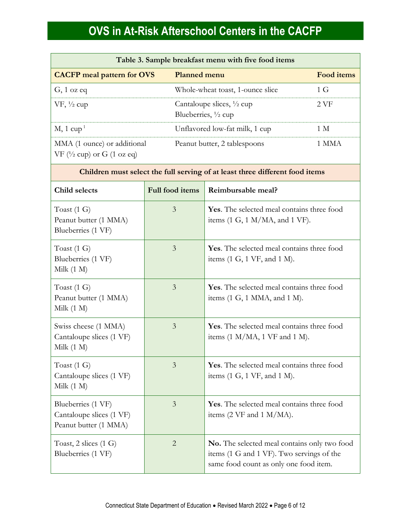| Table 3. Sample breakfast menu with five food items                            |                                                                        |                   |  |
|--------------------------------------------------------------------------------|------------------------------------------------------------------------|-------------------|--|
| <b>CACFP</b> meal pattern for OVS                                              | <b>Planned menu</b>                                                    | <b>Food items</b> |  |
| $G$ , 1 oz eq                                                                  | Whole-wheat toast, 1-ounce slice                                       | 1 G               |  |
| $VF, \frac{1}{2} cup$                                                          | Cantaloupe slices, $\frac{1}{2}$ cup<br>Blueberries, $\frac{1}{2}$ cup | 2.VF              |  |
| $M$ , 1 cup <sup>1</sup>                                                       | Unflavored low-fat milk, 1 cup                                         | 1 M               |  |
| MMA (1 ounce) or additional<br>VF $(\frac{1}{2}$ cup) or G $(1 \text{ oz eq})$ | Peanut butter, 2 tablespoons                                           | 1 MMA             |  |

#### **Children must select the full serving of at least three different food items**

| Child selects                                                           | Full food items | Reimbursable meal?                                                                                                                  |  |  |
|-------------------------------------------------------------------------|-----------------|-------------------------------------------------------------------------------------------------------------------------------------|--|--|
| Toast $(1\ G)$<br>Peanut butter (1 MMA)<br>Blueberries (1 VF)           | $\overline{3}$  | Yes. The selected meal contains three food<br>items $(1 G, 1 M/MA,$ and $1 VF$ ).                                                   |  |  |
| Toast $(1\ G)$<br>Blueberries (1 VF)<br>Milk $(1 M)$                    | 3               | Yes. The selected meal contains three food<br>items $(1 G, 1 VF, and 1 M)$ .                                                        |  |  |
| Toast $(1\ G)$<br>Peanut butter (1 MMA)<br>Milk $(1 M)$                 | $\overline{3}$  | Yes. The selected meal contains three food<br>items $(1 G, 1 MMA, and 1 M)$ .                                                       |  |  |
| Swiss cheese (1 MMA)<br>Cantaloupe slices (1 VF)<br>Milk $(1 M)$        | 3               | Yes. The selected meal contains three food<br>items $(1 M/MA, 1 VF$ and $1 M$ ).                                                    |  |  |
| Toast $(1 G)$<br>Cantaloupe slices (1 VF)<br>Milk $(1 M)$               | 3               | Yes. The selected meal contains three food<br>items $(1 G, 1 VF, and 1 M)$ .                                                        |  |  |
| Blueberries (1 VF)<br>Cantaloupe slices (1 VF)<br>Peanut butter (1 MMA) | 3               | Yes. The selected meal contains three food<br>items $(2 \text{ VF and } 1 \text{ M/MA}).$                                           |  |  |
| Toast, $2$ slices $(1 \text{ G})$<br>Blueberries (1 VF)                 | $\overline{2}$  | No. The selected meal contains only two food<br>items (1 G and 1 VF). Two servings of the<br>same food count as only one food item. |  |  |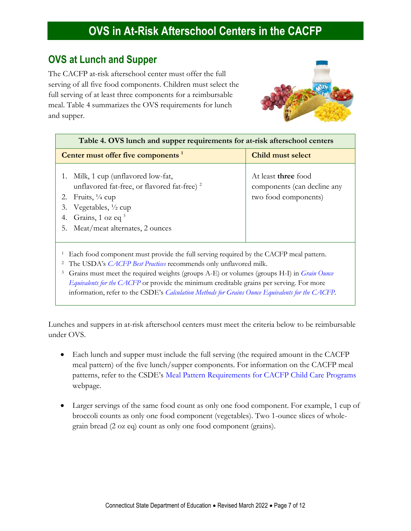#### **OVS at Lunch and Supper**

The CACFP at-risk afterschool center must offer the full serving of all five food components. Children must select the full serving of at least three components for a reimbursable meal. Table 4 summarizes the OVS requirements for lunch and supper.



| Table 4. OVS lunch and supper requirements for at-risk afterschool centers                                                                                                                                                                                                                                                                                                |                                                                                   |  |  |  |  |
|---------------------------------------------------------------------------------------------------------------------------------------------------------------------------------------------------------------------------------------------------------------------------------------------------------------------------------------------------------------------------|-----------------------------------------------------------------------------------|--|--|--|--|
| Center must offer five components <sup>1</sup>                                                                                                                                                                                                                                                                                                                            | Child must select                                                                 |  |  |  |  |
| 1. Milk, 1 cup (unflavored low-fat,<br>unflavored fat-free, or flavored fat-free) <sup>2</sup><br>Fruits, $\frac{1}{4}$ cup<br>2.<br>Vegetables, $\frac{1}{2}$ cup<br>3.<br>Grains, 1 oz eq 3<br>4.<br>Meat/meat alternates, 2 ounces<br>5.                                                                                                                               | At least <b>three</b> food<br>components (can decline any<br>two food components) |  |  |  |  |
| Each food component must provide the full serving required by the CACFP meal pattern.<br>The USDA's CACFP Best Practices recommends only unflavored milk.<br>$\mathbf{Z}$<br>Grains must meet the required weights (groups A-E) or volumes (groups H-I) in <i>Grain Ounce</i><br>Equivalents for the CACFP or provide the minimum creditable grains per serving. For more |                                                                                   |  |  |  |  |

Lunches and suppers in at-risk afterschool centers must meet the criteria below to be reimbursable under OVS.

information, refer to the CSDE's *[Calculation Methods for Grains Ounce Equivalents for the CACFP.](https://portal.ct.gov/-/media/SDE/Nutrition/CACFP/Crediting/Grain_Calculation_CACFP_oz_eq.pdf)*

- Each lunch and supper must include the full serving (the required amount in the CACFP meal pattern) of the five lunch/supper components. For information on the CACFP meal patterns, refer to the CSDE's [Meal Pattern Requirements for CACFP Child Care Programs](https://portal.ct.gov/SDE/Nutrition/Meal-Patterns-CACFP-Child-Care-Programs) webpage.
- Larger servings of the same food count as only one food component. For example, 1 cup of broccoli counts as only one food component (vegetables). Two 1-ounce slices of wholegrain bread (2 oz eq) count as only one food component (grains).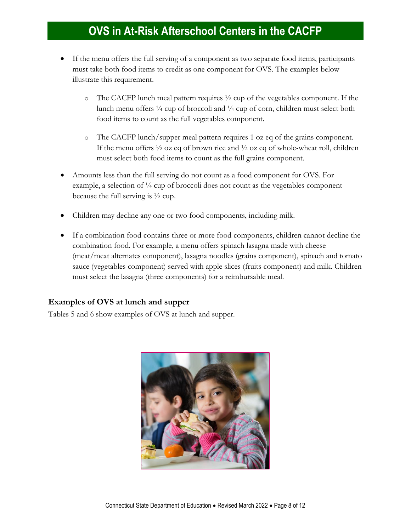- If the menu offers the full serving of a component as two separate food items, participants must take both food items to credit as one component for OVS. The examples below illustrate this requirement.
	- $\circ$  The CACFP lunch meal pattern requires  $\frac{1}{2}$  cup of the vegetables component. If the lunch menu offers  $\frac{1}{4}$  cup of broccoli and  $\frac{1}{4}$  cup of corn, children must select both food items to count as the full vegetables component.
	- o The CACFP lunch/supper meal pattern requires 1 oz eq of the grains component. If the menu offers  $\frac{1}{2}$  oz eq of brown rice and  $\frac{1}{2}$  oz eq of whole-wheat roll, children must select both food items to count as the full grains component.
- Amounts less than the full serving do not count as a food component for OVS. For example, a selection of  $\frac{1}{4}$  cup of broccoli does not count as the vegetables component because the full serving is  $\frac{1}{2}$  cup.
- Children may decline any one or two food components, including milk.
- If a combination food contains three or more food components, children cannot decline the combination food. For example, a menu offers spinach lasagna made with cheese (meat/meat alternates component), lasagna noodles (grains component), spinach and tomato sauce (vegetables component) served with apple slices (fruits component) and milk. Children must select the lasagna (three components) for a reimbursable meal.

#### **Examples of OVS at lunch and supper**

Tables 5 and 6 show examples of OVS at lunch and supper.

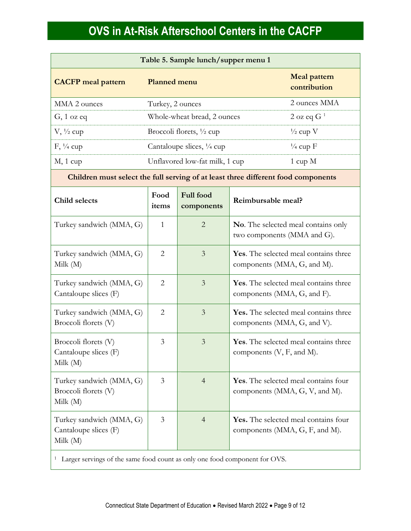| Table 5. Sample lunch/supper menu 1                                               |                                     |                                |                                                                        |                                     |
|-----------------------------------------------------------------------------------|-------------------------------------|--------------------------------|------------------------------------------------------------------------|-------------------------------------|
| <b>CACFP</b> meal pattern                                                         | <b>Planned menu</b>                 |                                |                                                                        | <b>Meal pattern</b><br>contribution |
| MMA 2 ounces                                                                      | Turkey, 2 ounces                    |                                |                                                                        | 2 ounces MMA                        |
| $G$ , 1 oz eq                                                                     |                                     | Whole-wheat bread, 2 ounces    |                                                                        | 2 oz eq $G1$                        |
| $V, \frac{1}{2}$ cup                                                              | Broccoli florets, $\frac{1}{2}$ cup |                                |                                                                        | $\frac{1}{2}$ cup V                 |
| $F, \frac{1}{4}$ cup                                                              |                                     | Cantaloupe slices, 1/4 cup     |                                                                        | $\frac{1}{4}$ cup F                 |
| $M$ , 1 cup                                                                       |                                     | Unflavored low-fat milk, 1 cup |                                                                        | $1 \text{ cup } M$                  |
| Children must select the full serving of at least three different food components |                                     |                                |                                                                        |                                     |
| Child selects                                                                     | Food<br>items                       | <b>Full food</b><br>components | Reimbursable meal?                                                     |                                     |
| Turkey sandwich (MMA, G)                                                          | 1                                   | $\overline{2}$                 | No. The selected meal contains only<br>two components (MMA and G).     |                                     |
| Turkey sandwich (MMA, G)<br>Milk $(M)$                                            | $\overline{2}$                      | $\overline{3}$                 | Yes. The selected meal contains three<br>components (MMA, G, and M).   |                                     |
| Turkey sandwich (MMA, G)<br>Cantaloupe slices (F)                                 | $\overline{2}$                      | $\overline{3}$                 | Yes. The selected meal contains three<br>components (MMA, G, and F).   |                                     |
| Turkey sandwich (MMA, G)<br>Broccoli florets (V)                                  | $\overline{2}$                      | $\overline{3}$                 | Yes. The selected meal contains three<br>components (MMA, G, and V).   |                                     |
| Broccoli florets (V)<br>Cantaloupe slices (F)<br>Milk $(M)$                       | 3                                   | $\overline{3}$                 | Yes. The selected meal contains three<br>components $(V, F, and M)$ .  |                                     |
| Turkey sandwich (MMA, G)<br>Broccoli florets (V)<br>Milk $(M)$                    | $\mathfrak{Z}$                      | $\overline{4}$                 | Yes. The selected meal contains four<br>components (MMA, G, V, and M). |                                     |
| Turkey sandwich (MMA, G)<br>Cantaloupe slices (F)<br>Milk $(M)$                   | 3                                   | $\overline{4}$                 | Yes. The selected meal contains four<br>components (MMA, G, F, and M). |                                     |
|                                                                                   |                                     |                                |                                                                        |                                     |

<sup>1</sup> Larger servings of the same food count as only one food component for OVS.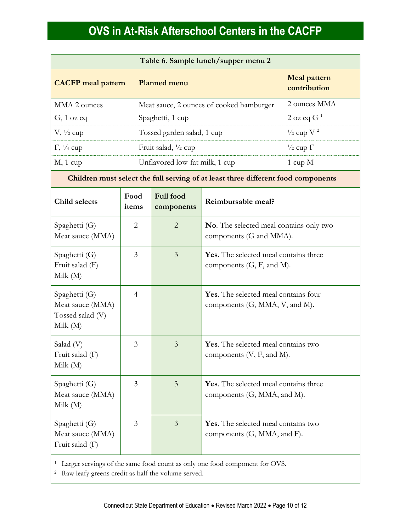| Table 6. Sample lunch/supper menu 2                                 |                |                                |                                                                                   |                                     |  |
|---------------------------------------------------------------------|----------------|--------------------------------|-----------------------------------------------------------------------------------|-------------------------------------|--|
| <b>CACFP</b> meal pattern                                           |                | <b>Planned menu</b>            |                                                                                   | <b>Meal pattern</b><br>contribution |  |
| MMA 2 ounces                                                        |                |                                | Meat sauce, 2 ounces of cooked hamburger                                          | 2 ounces MMA                        |  |
| $G$ , 1 oz eq                                                       |                | Spaghetti, 1 cup               | 2 oz eq $G1$                                                                      |                                     |  |
| $V, \frac{1}{2}$ cup                                                |                | Tossed garden salad, 1 cup     |                                                                                   | $\frac{1}{2}$ cup V <sup>2</sup>    |  |
| $F, \frac{1}{4}$ cup                                                |                | Fruit salad, 1/2 cup           |                                                                                   | $\frac{1}{2}$ cup F                 |  |
| $M$ , 1 cup                                                         |                | Unflavored low-fat milk, 1 cup |                                                                                   | $1 \text{ cup } M$                  |  |
|                                                                     |                |                                | Children must select the full serving of at least three different food components |                                     |  |
| Child selects                                                       | Food<br>items  | <b>Full food</b><br>components | Reimbursable meal?                                                                |                                     |  |
| Spaghetti (G)<br>Meat sauce (MMA)                                   | $\overline{2}$ | $\overline{2}$                 | No. The selected meal contains only two<br>components (G and MMA).                |                                     |  |
| Spaghetti (G)<br>Fruit salad (F)<br>Milk (M)                        | 3              | $\mathfrak{Z}$                 | Yes. The selected meal contains three<br>components $(G, F, and M)$ .             |                                     |  |
| Spaghetti (G)<br>Meat sauce (MMA)<br>Tossed salad (V)<br>Milk $(M)$ | $\overline{4}$ |                                | Yes. The selected meal contains four<br>components (G, MMA, V, and M).            |                                     |  |
| Salad (V)<br>Fruit salad (F)<br>Milk $(M)$                          | 3              | 3                              | Yes. The selected meal contains two<br>components (V, F, and M).                  |                                     |  |
| Spaghetti (G)<br>Meat sauce (MMA)<br>Milk $(M)$                     | 3              | $\overline{3}$                 | Yes. The selected meal contains three<br>components (G, MMA, and M).              |                                     |  |
| Spaghetti (G)<br>Meat sauce (MMA)<br>Fruit salad (F)                | $\mathfrak{Z}$ | $\mathfrak{Z}$                 | Yes. The selected meal contains two<br>components (G, MMA, and F).                |                                     |  |

<sup>1</sup> Larger servings of the same food count as only one food component for OVS.

<sup>2</sup> Raw leafy greens credit as half the volume served.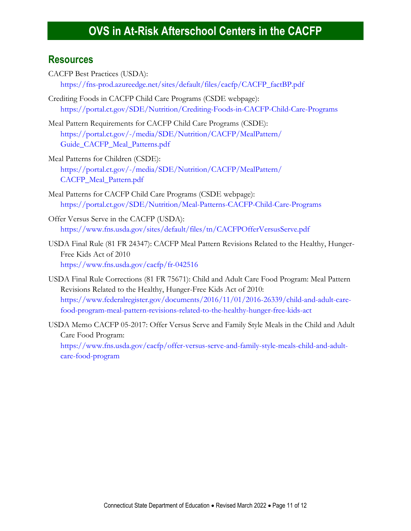#### **Resources**

- CACFP Best Practices (USDA): [https://fns-prod.azureedge.net/sites/default/files/cacfp/CACFP\\_factBP.pdf](https://fns-prod.azureedge.net/sites/default/files/cacfp/CACFP_factBP.pdf)
- Crediting Foods in CACFP Child Care Programs (CSDE webpage): [https://portal.ct.gov/SDE/Nutrition/Crediting-Foods-in-CACFP-Child-Care-Programs](http://portal.ct.gov/SDE/Nutrition/Crediting-Foods-in-CACFP-Child-Care-Programs)
- Meal Pattern Requirements for CACFP Child Care Programs (CSDE): [https://portal.ct.gov/-/media/SDE/Nutrition/CACFP/MealPattern/](https://portal.ct.gov/-/media/SDE/Nutrition/CACFP/MealPattern/Guide_CACFP_Meal_Patterns.pdf) [Guide\\_CACFP\\_Meal\\_Patterns.pdf](https://portal.ct.gov/-/media/SDE/Nutrition/CACFP/MealPattern/Guide_CACFP_Meal_Patterns.pdf)
- Meal Patterns for Children (CSDE): [https://portal.ct.gov/-/media/SDE/Nutrition/CACFP/MealPattern/](https://portal.ct.gov/-/media/SDE/Nutrition/CACFP/MealPattern/CACFP_Meal_Pattern.pdf) [CACFP\\_Meal\\_Pattern.pdf](https://portal.ct.gov/-/media/SDE/Nutrition/CACFP/MealPattern/CACFP_Meal_Pattern.pdf)
- Meal Patterns for CACFP Child Care Programs (CSDE webpage): [https://portal.ct.gov/SDE/Nutrition/Meal-Patterns-CACFP-Child-Care-Programs](http://portal.ct.gov/SDE/Nutrition/Meal-Patterns-CACFP-Child-Care-Programs)
- Offer Versus Serve in the CACFP (USDA): <https://www.fns.usda.gov/sites/default/files/tn/CACFPOfferVersusServe.pdf>
- USDA Final Rule (81 FR 24347): CACFP Meal Pattern Revisions Related to the Healthy, Hunger-Free Kids Act of 2010 <https://www.fns.usda.gov/cacfp/fr-042516>
- USDA Final Rule Corrections (81 FR 75671): Child and Adult Care Food Program: Meal Pattern Revisions Related to the Healthy, Hunger-Free Kids Act of 2010: [https://www.federalregister.gov/documents/2016/11/01/2016-26339/child-and-adult-care](https://www.federalregister.gov/documents/2016/11/01/2016-26339/child-and-adult-care-food-program-meal-pattern-revisions-related-to-the-healthy-hunger-free-kids-act)[food-program-meal-pattern-revisions-related-to-the-healthy-hunger-free-kids-act](https://www.federalregister.gov/documents/2016/11/01/2016-26339/child-and-adult-care-food-program-meal-pattern-revisions-related-to-the-healthy-hunger-free-kids-act)
- USDA Memo CACFP 05-2017: Offer Versus Serve and Family Style Meals in the Child and Adult Care Food Program: [https://www.fns.usda.gov/cacfp/offer-versus-serve-and-family-style-meals-child-and-adult](https://www.fns.usda.gov/cacfp/offer-versus-serve-and-family-style-meals-child-and-adult-care-food-program)[care-food-program](https://www.fns.usda.gov/cacfp/offer-versus-serve-and-family-style-meals-child-and-adult-care-food-program)